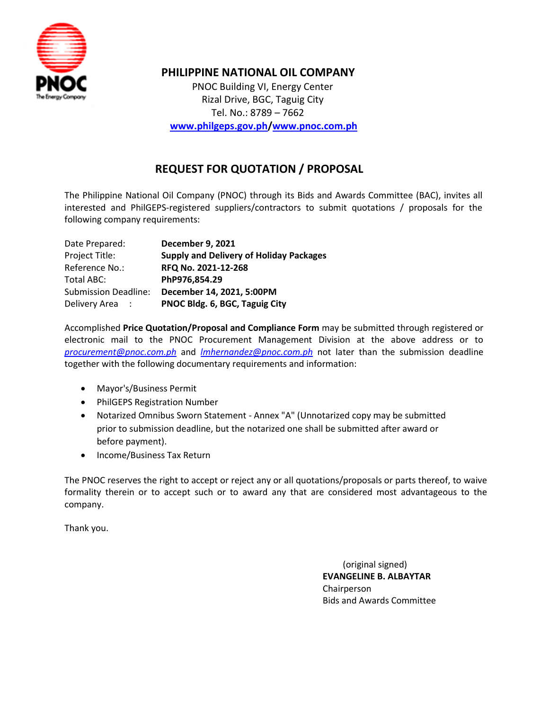

## **PHILIPPINE NATIONAL OIL COMPANY**

 PNOC Building VI, Energy Center Rizal Drive, BGC, Taguig City Tel. No.: 8789 – 7662  **[www.philgeps.gov.ph](http://www.philgeps.gov.ph/)[/www.pnoc.com.ph](http://www.pnoc.com.ph/)**

## **REQUEST FOR QUOTATION / PROPOSAL**

The Philippine National Oil Company (PNOC) through its Bids and Awards Committee (BAC), invites all interested and PhilGEPS-registered suppliers/contractors to submit quotations / proposals for the following company requirements:

| Date Prepared:              | <b>December 9, 2021</b>                        |  |  |  |
|-----------------------------|------------------------------------------------|--|--|--|
| Project Title:              | <b>Supply and Delivery of Holiday Packages</b> |  |  |  |
| Reference No.:              | RFQ No. 2021-12-268                            |  |  |  |
| Total ABC:                  | PhP976,854.29                                  |  |  |  |
| <b>Submission Deadline:</b> | December 14, 2021, 5:00PM                      |  |  |  |
| Delivery Area :             | PNOC Bldg. 6, BGC, Taguig City                 |  |  |  |

Accomplished **Price Quotation/Proposal and Compliance Form** may be submitted through registered or electronic mail to the PNOC Procurement Management Division at the above address or to *[procurement@pnoc.com.ph](mailto:procurement@pnoc.com.ph)* and *[lmhernandez@pnoc.com.ph](mailto:lmhernandez@pnoc.com.ph)* not later than the submission deadline together with the following documentary requirements and information:

- Mayor's/Business Permit
- PhilGEPS Registration Number
- Notarized Omnibus Sworn Statement Annex "A" (Unnotarized copy may be submitted prior to submission deadline, but the notarized one shall be submitted after award or before payment).
- Income/Business Tax Return

The PNOC reserves the right to accept or reject any or all quotations/proposals or parts thereof, to waive formality therein or to accept such or to award any that are considered most advantageous to the company.

Thank you.

 (original signed) **EVANGELINE B. ALBAYTAR** Chairperson Bids and Awards Committee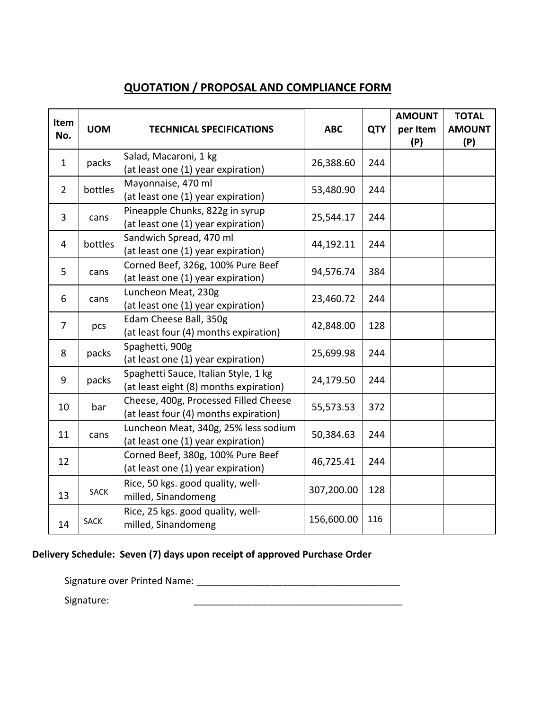# **QUOTATION / PROPOSAL AND COMPLIANCE FORM**

| Item<br>No.    | <b>UOM</b>  | <b>TECHNICAL SPECIFICATIONS</b>                                                | <b>ABC</b> | <b>QTY</b> | <b>AMOUNT</b><br>per Item<br>(P) | <b>TOTAL</b><br><b>AMOUNT</b><br>(P) |
|----------------|-------------|--------------------------------------------------------------------------------|------------|------------|----------------------------------|--------------------------------------|
| $\mathbf{1}$   | packs       | Salad, Macaroni, 1 kg<br>(at least one (1) year expiration)                    | 26,388.60  | 244        |                                  |                                      |
| $\overline{2}$ | bottles     | Mayonnaise, 470 ml<br>(at least one (1) year expiration)                       | 53,480.90  | 244        |                                  |                                      |
| $\overline{3}$ | cans        | Pineapple Chunks, 822g in syrup<br>(at least one (1) year expiration)          | 25,544.17  | 244        |                                  |                                      |
| 4              | bottles     | Sandwich Spread, 470 ml<br>(at least one (1) year expiration)                  | 44,192.11  | 244        |                                  |                                      |
| 5              | cans        | Corned Beef, 326g, 100% Pure Beef<br>(at least one (1) year expiration)        | 94,576.74  | 384        |                                  |                                      |
| 6              | cans        | Luncheon Meat, 230g<br>(at least one (1) year expiration)                      | 23,460.72  | 244        |                                  |                                      |
| $\overline{7}$ | pcs         | Edam Cheese Ball, 350g<br>(at least four (4) months expiration)                | 42,848.00  | 128        |                                  |                                      |
| 8              | packs       | Spaghetti, 900g<br>(at least one (1) year expiration)                          | 25,699.98  | 244        |                                  |                                      |
| 9              | packs       | Spaghetti Sauce, Italian Style, 1 kg<br>(at least eight (8) months expiration) | 24,179.50  | 244        |                                  |                                      |
| 10             | bar         | Cheese, 400g, Processed Filled Cheese<br>(at least four (4) months expiration) | 55,573.53  | 372        |                                  |                                      |
| 11             | cans        | Luncheon Meat, 340g, 25% less sodium<br>(at least one (1) year expiration)     | 50,384.63  | 244        |                                  |                                      |
| 12             |             | Corned Beef, 380g, 100% Pure Beef<br>(at least one (1) year expiration)        | 46,725.41  | 244        |                                  |                                      |
| 13             | <b>SACK</b> | Rice, 50 kgs. good quality, well-<br>milled, Sinandomeng                       | 307,200.00 | 128        |                                  |                                      |
| 14             | <b>SACK</b> | Rice, 25 kgs. good quality, well-<br>milled, Sinandomeng                       | 156,600.00 | 116        |                                  |                                      |

## **Delivery Schedule: Seven (7) days upon receipt of approved Purchase Order**

Signature over Printed Name: \_\_\_\_\_\_\_\_\_\_\_\_\_\_\_\_\_\_\_\_\_\_\_\_\_\_\_\_\_\_\_\_\_\_\_\_\_\_

Signature: